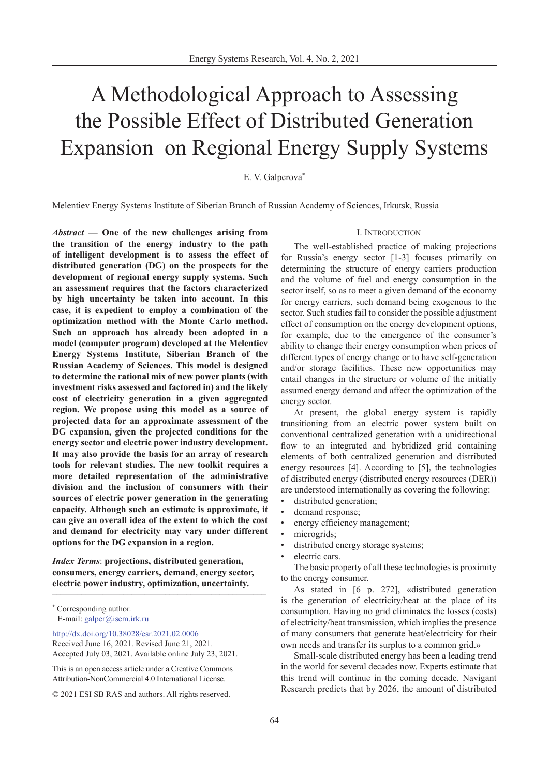# A Methodological Approach to Assessing the Possible Effect of Distributed Generation Expansion on Regional Energy Supply Systems

# E. V. Galperova<sup>\*</sup>

Melentiev Energy Systems Institute of Siberian Branch of Russian Academy of Sciences, Irkutsk, Russia

*Abstract* **— One of the new challenges arising from the transition of the energy industry to the path of intelligent development is to assess the effect of distributed generation (DG) on the prospects for the development of regional energy supply systems. Such an assessment requires that the factors characterized by high uncertainty be taken into account. In this case, it is expedient to employ a combination of the optimization method with the Monte Carlo method. Such an approach has already been adopted in a model (computer program) developed at the Melentiev Energy Systems Institute, Siberian Branch of the Russian Academy of Sciences. This model is designed to determine the rational mix of new power plants (with investment risks assessed and factored in) and the likely cost of electricity generation in a given aggregated region. We propose using this model as a source of projected data for an approximate assessment of the DG expansion, given the projected conditions for the energy sector and electric power industry development. It may also provide the basis for an array of research tools for relevant studies. The new toolkit requires a more detailed representation of the administrative division and the inclusion of consumers with their sources of electric power generation in the generating capacity. Although such an estimate is approximate, it can give an overall idea of the extent to which the cost and demand for electricity may vary under different options for the DG expansion in a region.**

*Index Terms*: **projections, distributed generation, consumers, energy carriers, demand, energy sector, electric power industry, optimization, uncertainty.**   $\frac{1}{\sqrt{2}}$ 

<http://dx.doi.org/10.38028/esr.2021.02.0006> Received June 16, 2021. Revised June 21, 2021. Accepted July 03, 2021. Available online July 23, 2021.

This is an open access article under a Creative Commons Attribution-NonCommercial 4.0 International License.

#### I. Introduction

The well-established practice of making projections for Russia's energy sector [1-3] focuses primarily on determining the structure of energy carriers production and the volume of fuel and energy consumption in the sector itself, so as to meet a given demand of the economy for energy carriers, such demand being exogenous to the sector. Such studies fail to consider the possible adjustment effect of consumption on the energy development options, for example, due to the emergence of the consumer's ability to change their energy consumption when prices of different types of energy change or to have self-generation and/or storage facilities. These new opportunities may entail changes in the structure or volume of the initially assumed energy demand and affect the optimization of the energy sector.

At present, the global energy system is rapidly transitioning from an electric power system built on conventional centralized generation with a unidirectional flow to an integrated and hybridized grid containing elements of both centralized generation and distributed energy resources [4]. According to [5], the technologies of distributed energy (distributed energy resources (DER)) are understood internationally as covering the following:

- distributed generation;
- demand response;
- energy efficiency management;
- microgrids;
- distributed energy storage systems;
- electric cars.

The basic property of all these technologies is proximity to the energy consumer.

As stated in [6 p. 272], «distributed generation is the generation of electricity/heat at the place of its consumption. Having no grid eliminates the losses (costs) of electricity/heat transmission, which implies the presence of many consumers that generate heat/electricity for their own needs and transfer its surplus to a common grid.»

Small-scale distributed energy has been a leading trend in the world for several decades now. Experts estimate that this trend will continue in the coming decade. Navigant Research predicts that by 2026, the amount of distributed

<sup>\*</sup> Corresponding author. E-mail: galper@isem.irk.r[u](mailto:galper%40isem.irk.ru?subject=)

<sup>© 2021</sup> ESI SB RAS and authors. All rights reserved.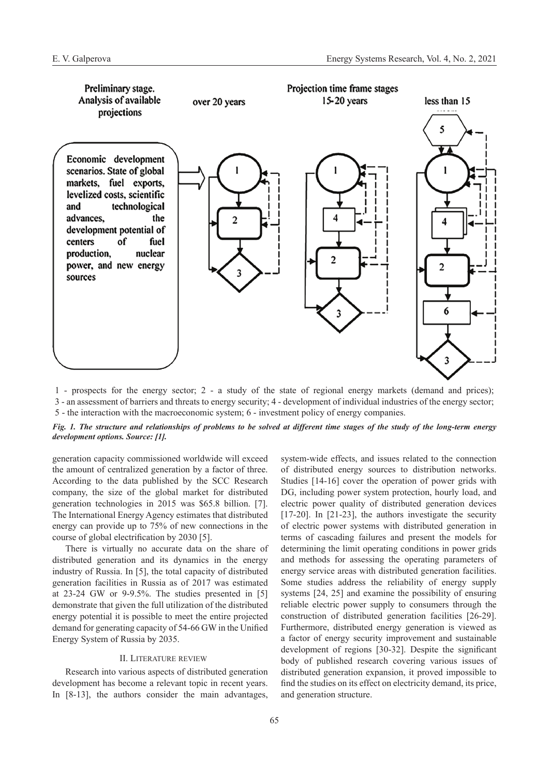

1 - prospects for the energy sector; 2 - a study of the state of regional energy markets (demand and prices); 3 - an assessment of barriers and threats to energy security; 4 - development of individual industries of the energy sector; 5 - the interaction with the macroeconomic system; 6 - investment policy of energy companies.

# *Fig. 1. The structure and relationships of problems to be solved at different time stages of the study of the long-term energy development options. Source: [1].*

generation capacity commissioned worldwide will exceed the amount of centralized generation by a factor of three. According to the data published by the SCC Research company, the size of the global market for distributed generation technologies in 2015 was \$65.8 billion. [7]. The International Energy Agency estimates that distributed energy can provide up to 75% of new connections in the course of global electrification by 2030 [5].

There is virtually no accurate data on the share of distributed generation and its dynamics in the energy industry of Russia. In [5], the total capacity of distributed generation facilities in Russia as of 2017 was estimated at 23-24 GW or 9-9.5%. The studies presented in [5] demonstrate that given the full utilization of the distributed energy potential it is possible to meet the entire projected demand for generating capacity of 54-66 GW in the Unified Energy System of Russia by 2035.

# II. Literature review

Research into various aspects of distributed generation development has become a relevant topic in recent years. In [8-13], the authors consider the main advantages,

system-wide effects, and issues related to the connection of distributed energy sources to distribution networks. Studies [14-16] cover the operation of power grids with DG, including power system protection, hourly load, and electric power quality of distributed generation devices [17-20]. In [21-23], the authors investigate the security of electric power systems with distributed generation in terms of cascading failures and present the models for determining the limit operating conditions in power grids and methods for assessing the operating parameters of energy service areas with distributed generation facilities. Some studies address the reliability of energy supply systems [24, 25] and examine the possibility of ensuring reliable electric power supply to consumers through the construction of distributed generation facilities [26-29]. Furthermore, distributed energy generation is viewed as a factor of energy security improvement and sustainable development of regions [30-32]. Despite the significant body of published research covering various issues of distributed generation expansion, it proved impossible to find the studies on its effect on electricity demand, its price, and generation structure.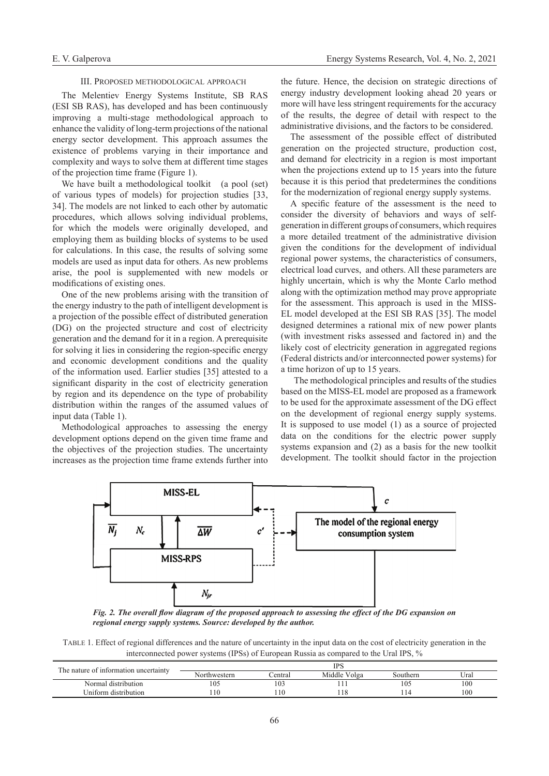#### III. Proposed methodological approach

The Melentiev Energy Systems Institute, SB RAS (ESI SB RAS), has developed and has been continuously improving a multi-stage methodological approach to enhance the validity of long-term projections of the national energy sector development. This approach assumes the existence of problems varying in their importance and complexity and ways to solve them at different time stages of the projection time frame (Figure 1).

We have built a methodological toolkit (a pool (set) of various types of models) for projection studies [33, 34]. The models are not linked to each other by automatic procedures, which allows solving individual problems, for which the models were originally developed, and employing them as building blocks of systems to be used for calculations. In this case, the results of solving some models are used as input data for others. As new problems arise, the pool is supplemented with new models or modifications of existing ones.

One of the new problems arising with the transition of the energy industry to the path of intelligent development is a projection of the possible effect of distributed generation (DG) on the projected structure and cost of electricity generation and the demand for it in a region. A prerequisite for solving it lies in considering the region-specific energy and economic development conditions and the quality of the information used. Earlier studies [35] attested to a significant disparity in the cost of electricity generation by region and its dependence on the type of probability distribution within the ranges of the assumed values of input data (Table 1).

Methodological approaches to assessing the energy development options depend on the given time frame and the objectives of the projection studies. The uncertainty increases as the projection time frame extends further into

the future. Hence, the decision on strategic directions of energy industry development looking ahead 20 years or more will have less stringent requirements for the accuracy of the results, the degree of detail with respect to the administrative divisions, and the factors to be considered.

The assessment of the possible effect of distributed generation on the projected structure, production cost, and demand for electricity in a region is most important when the projections extend up to 15 years into the future because it is this period that predetermines the conditions for the modernization of regional energy supply systems.

A specific feature of the assessment is the need to consider the diversity of behaviors and ways of selfgeneration in different groups of consumers, which requires a more detailed treatment of the administrative division given the conditions for the development of individual regional power systems, the characteristics of consumers, electrical load curves, and others. All these parameters are highly uncertain, which is why the Monte Carlo method along with the optimization method may prove appropriate for the assessment. This approach is used in the MISS-EL model developed at the ESI SB RAS [35]. The model designed determines a rational mix of new power plants (with investment risks assessed and factored in) and the likely cost of electricity generation in aggregated regions (Federal districts and/or interconnected power systems) for a time horizon of up to 15 years.

The methodological principles and results of the studies based on the MISS-EL model are proposed as a framework to be used for the approximate assessment of the DG effect on the development of regional energy supply systems. It is supposed to use model (1) as a source of projected data on the conditions for the electric power supply systems expansion and (2) as a basis for the new toolkit development. The toolkit should factor in the projection



*Fig. 2. The overall flow diagram of the proposed approach to assessing the effect of the DG expansion on regional energy supply systems. Source: developed by the author.*

Table 1. Effect of regional differences and the nature of uncertainty in the input data on the cost of electricity generation in the interconnected power systems (IPSs) of European Russia as compared to the Ural IPS, %

| The nature of information uncertainty | IPS          |         |              |          |      |
|---------------------------------------|--------------|---------|--------------|----------|------|
|                                       | Northwestern | ∠entral | Middle Volga | Southern | Ural |
| Normal distribution                   | 105          | 103     |              | 105      | 100  |
| Uniform distribution                  |              | 110     | 118          |          | 100  |
|                                       |              |         |              |          |      |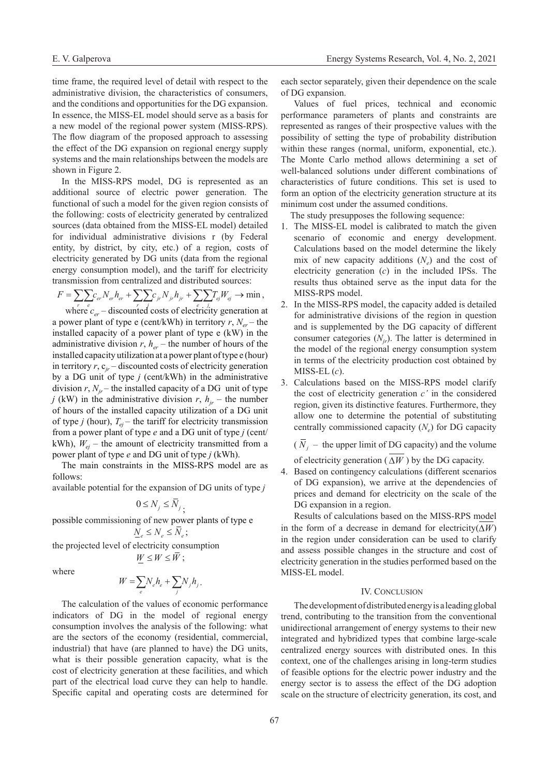time frame, the required level of detail with respect to the administrative division, the characteristics of consumers, and the conditions and opportunities for the DG expansion. In essence, the MISS-EL model should serve as a basis for a new model of the regional power system (MISS-RPS). The flow diagram of the proposed approach to assessing the effect of the DG expansion on regional energy supply systems and the main relationships between the models are shown in Figure 2.

In the MISS-RPS model, DG is represented as an additional source of electric power generation. The functional of such a model for the given region consists of the following: costs of electricity generated by centralized sources (data obtained from the MISS-EL model) detailed for individual administrative divisions r (by Federal entity, by district, by city, etc.) of a region, costs of electricity generated by DG units (data from the regional energy consumption model), and the tariff for electricity transmission from centralized and distributed sources:

$$
F = \sum_{r} \sum_{e} c_{er} N_{er} h_{er} + \sum_{r} \sum_{j} c_{jr} N_{jr} h_{jr} + \sum_{e} \sum_{j} T_{ej} W_{ej} \rightarrow \min,
$$

where  $c_{er}$  – discounted costs of electricity generation at a power plant of type e (cent/kWh) in territory  $r$ ,  $N_{er}$  – the installed capacity of a power plant of type е (kW) in the administrative division  $r$ ,  $h_{er}$  – the number of hours of the installed capacity utilization at a power plant of type е (hour) in territory  $r$ ,  $c_{ir}$  – discounted costs of electricity generation by a DG unit of type *j* (cent/kWh) in the administrative division  $r$ ,  $N_{ir}$  – the installed capacity of a DG unit of type *j* (kW) in the administrative division *r*,  $h_{ir}$  – the number of hours of the installed capacity utilization of a DG unit of type *j* (hour),  $T_{ei}$  – the tariff for electricity transmission from a power plant of type *e* and a DG unit of type *j* (cent/ kWh),  $W_{ei}$  – the amount of electricity transmitted from a power plant of type *е* and DG unit of type *j* (kWh).

The main constraints in the MISS-RPS model are as follows:

available potential for the expansion of DG units of type *j*

$$
0 \le N_j \le N_j
$$

possible commissioning of new power plants of type е

$$
\underline{N}_e \leq N_e \leq \overline{N}_e \, ;
$$

the projected level of electricity consumption

$$
W \leq W \leq \overline{W} ;
$$

where

$$
W = \sum_{e} N_e h_e + \sum_{j} N_j h_j.
$$

The calculation of the values of economic performance indicators of DG in the model of regional energy consumption involves the analysis of the following: what are the sectors of the economy (residential, commercial, industrial) that have (are planned to have) the DG units, what is their possible generation capacity, what is the cost of electricity generation at these facilities, and which part of the electrical load curve they can help to handle. Specific capital and operating costs are determined for each sector separately, given their dependence on the scale of DG expansion.

Values of fuel prices, technical and economic performance parameters of plants and constraints are represented as ranges of their prospective values with the possibility of setting the type of probability distribution within these ranges (normal, uniform, exponential, etc.). The Monte Carlo method allows determining a set of well-balanced solutions under different combinations of characteristics of future conditions. This set is used to form an option of the electricity generation structure at its minimum cost under the assumed conditions.

The study presupposes the following sequence:

- 1. The MISS-EL model is calibrated to match the given scenario of economic and energy development. Calculations based on the model determine the likely mix of new capacity additions  $(N<sub>e</sub>)$  and the cost of electricity generation (*c*) in the included IPSs. The results thus obtained serve as the input data for the MISS-RPS model.
- 2. In the MISS-RPS model, the capacity added is detailed for administrative divisions of the region in question and is supplemented by the DG capacity of different consumer categories  $(N_{ir})$ . The latter is determined in the model of the regional energy consumption system in terms of the electricity production cost obtained by MISS-EL (*c*).
- 3. Calculations based on the MISS-RPS model clarify the cost of electricity generation *c'* in the considered region, given its distinctive features. Furthermore, they allow one to determine the potential of substituting centrally commissioned capacity  $(N_e)$  for DG capacity

 $(\overline{N}_i -$  the upper limit of DG capacity) and the volume of electricity generation ( $\overline{\Delta W}$ ) by the DG capacity.

4. Based on contingency calculations (different scenarios of DG expansion), we arrive at the dependencies of prices and demand for electricity on the scale of the DG expansion in a region.

Results of calculations based on the MISS-RPS model in the form of a decrease in demand for electricity( $\Delta W$ ) in the region under consideration can be used to clarify and assess possible changes in the structure and cost of electricity generation in the studies performed based on the MISS-EL model.

# IV. CONCLUSION

The development of distributed energy is a leading global trend, contributing to the transition from the conventional unidirectional arrangement of energy systems to their new integrated and hybridized types that combine large-scale centralized energy sources with distributed ones. In this context, one of the challenges arising in long-term studies of feasible options for the electric power industry and the energy sector is to assess the effect of the DG adoption scale on the structure of electricity generation, its cost, and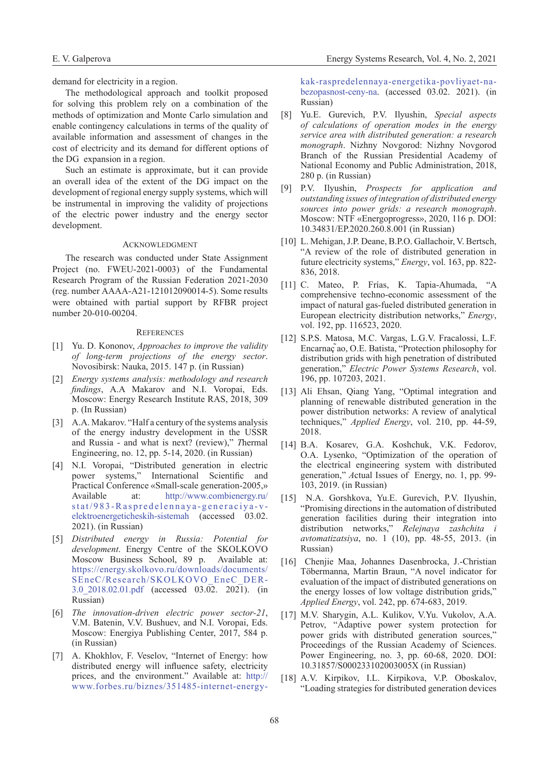demand for electricity in a region.

The methodological approach and toolkit proposed for solving this problem rely on a combination of the methods of optimization and Monte Carlo simulation and enable contingency calculations in terms of the quality of available information and assessment of changes in the cost of electricity and its demand for different options of the DG expansion in a region.

Such an estimate is approximate, but it can provide an overall idea of the extent of the DG impact on the development of regional energy supply systems, which will be instrumental in improving the validity of projections of the electric power industry and the energy sector development.

## **ACKNOWLEDGMENT**

The research was conducted under State Assignment Project (no. FWEU-2021-0003) of the Fundamental Research Program of the Russian Federation 2021-2030 (reg. number АААА-А21-121012090014-5). Some results were obtained with partial support by RFBR project number 20-010-00204.

## **REFERENCES**

- [1] Yu. D. Kononov, *Approaches to improve the validity of long-term projections of the energy sector*. Novosibirsk: Nauka, 2015. 147 p. (in Russian)
- [2] *Energy systems analysis: methodology and research findings*, A.A Makarov and N.I. Voropai, Eds. Moscow: Energy Research Institute RAS, 2018, 309 p. (In Russian)
- [3] A.A. Makarov. "Half a century of the systems analysis of the energy industry development in the USSR and Russia - and what is next? (review)," *T*hermal Engineering, no. 12, pp. 5-14, 2020. (in Russian)
- [4] N.I. Voropai, "Distributed generation in electric power systems," International Scientific and Practical Conference «Small-scale generation-2005,» Available at: [http://www.combienergy.ru/](http://www.combienergy.ru/stat/983-Raspredelennaya-generaciya-v-elektroenergeticheskih-sistemah) [stat/983-Raspredelennaya-generaciya-v](http://www.combienergy.ru/stat/983-Raspredelennaya-generaciya-v-elektroenergeticheskih-sistemah)[elektroenergeticheskih-sistemah](http://www.combienergy.ru/stat/983-Raspredelennaya-generaciya-v-elektroenergeticheskih-sistemah) (accessed 03.02. 2021). (in Russian)
- [5] *Distributed energy in Russia: Potential for development*. Energy Centre of the SKOLKOVO Moscow Business School, 89 p. Available at: [https://energy.skolkovo.ru/downloads/documents/](https://energy.skolkovo.ru/downloads/documents/SEneC/Research/SKOLKOVO_EneC_DER-3.0_2018.02.01.pdf) [SEneC/Research/SKOLKOVO\\_EneC\\_DER-](https://energy.skolkovo.ru/downloads/documents/SEneC/Research/SKOLKOVO_EneC_DER-3.0_2018.02.01.pdf)[3.0\\_2018.02.01.pdf](https://energy.skolkovo.ru/downloads/documents/SEneC/Research/SKOLKOVO_EneC_DER-3.0_2018.02.01.pdf) (accessed 03.02. 2021). (in Russian)
- [6] *The innovation-driven electric power sector-21*, V.M. Batenin, V.V. Bushuev, and N.I. Voropai, Eds. Moscow: Energiya Publishing Center, 2017, 584 p. (in Russian)
- [7] A. Khokhlov, F. Veselov, "Internet of Energy: how distributed energy will influence safety, electricity prices, and the environment." Available at: [http://](http://www.forbes.ru/biznes/351485-internet-energy-kak-raspredelennaya-energetika-povliyaet-na-bezopasnost-ceny-na) [www.forbes.ru/biznes/351485-internet-energy-](http://www.forbes.ru/biznes/351485-internet-energy-kak-raspredelennaya-energetika-povliyaet-na-bezopasnost-ceny-na)

[kak-raspredelennaya-energetika-povliyaet-na](http://www.forbes.ru/biznes/351485-internet-energy-kak-raspredelennaya-energetika-povliyaet-na-bezopasnost-ceny-na)[bezopasnost-ceny-na.](http://www.forbes.ru/biznes/351485-internet-energy-kak-raspredelennaya-energetika-povliyaet-na-bezopasnost-ceny-na) (accessed 03.02. 2021). (in Russian)

- [8] Yu.E. Gurevich, P.V. Ilyushin, *Special aspects of calculations of operation modes in the energy service area with distributed generation: a research monograph*. Nizhny Novgorod: Nizhny Novgorod Branch of the Russian Presidential Academy of National Economy and Public Administration, 2018, 280 p. (in Russian)
- [9] P.V. Ilyushin, *Prospects for application and outstanding issues of integration of distributed energy sources into power grids: a research monograph*. Moscow: NTF «Energoprogress», 2020, 116 p. DOI: 10.34831/EP.2020.260.8.001 (in Russian)
- [10] L. Mehigan, J.P. Deane, B.P.O. Gallachoir, V. Bertsch, "A review of the role of distributed generation in future electricity systems," *Energy*, vol. 163, pp. 822- 836, 2018.
- [11] C. Mateo, P. Frías, K. Tapia-Ahumada, "A comprehensive techno-economic assessment of the impact of natural gas-fueled distributed generation in European electricity distribution networks," *Energy*, vol. 192, pp. 116523, 2020.
- [12] S.P.S. Matosa, M.C. Vargas, L.G.V. Fracalossi, L.F. Encarnaç ̃ao, O.E. Batista, "Protection philosophy for distribution grids with high penetration of distributed generation," *Electric Power Systems Research*, vol. 196, pp. 107203, 2021.
- [13] Ali Ehsan, Qiang Yang, "Optimal integration and planning of renewable distributed generation in the power distribution networks: A review of analytical techniques," *Applied Energy*, vol. 210, pp. 44-59, 2018.
- [14] B.A. Kosarev, G.A. Koshchuk, V.K. Fedorov, O.A. Lysenko, "Optimization of the operation of the electrical engineering system with distributed generation," *A*ctual Issues of Energy, no. 1, pp. 99- 103, 2019. (in Russian)
- [15] N.A. Gorshkova, Yu.E. Gurevich, P.V. Ilyushin, "Promising directions in the automation of distributed generation facilities during their integration into distribution networks," *Relejnaya zashchita i avtomatizatsiya*, no. 1 (10), pp. 48-55, 2013. (in Russian)
- [16] Chenjie Maa, Johannes Dasenbrocka, J.-Christian Töbermanna, Martin Braun, "A novel indicator for evaluation of the impact of distributed generations on the energy losses of low voltage distribution grids," *Applied Energy*, vol. 242, pp. 674-683, 2019.
- [17] M.V. Sharygin, A.L. Kulikov, V.Yu. Vukolov, A.A. Petrov, "Adaptive power system protection for power grids with distributed generation sources," Proceedings of the Russian Academy of Sciences. Power Engineering, no. 3, pp. 60-68, 2020. DOI: 10.31857/S000233102003005X (in Russian)
- [18] A.V. Kirpikov, I.L. Kirpikova, V.P. Oboskalov, "Loading strategies for distributed generation devices